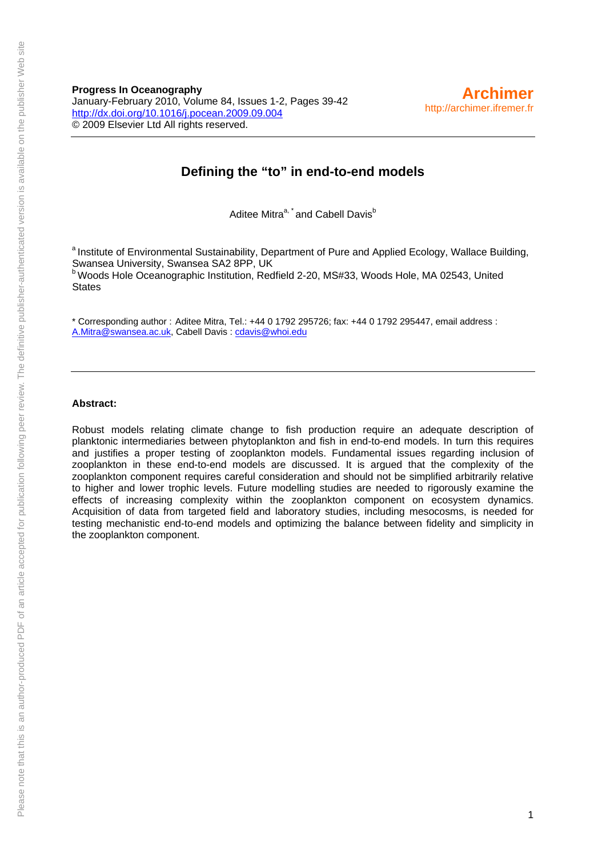**Progress In Oceanography**  January-February 2010, Volume 84, Issues 1-2, Pages 39-42 <http://dx.doi.org/10.1016/j.pocean.2009.09.004> © 2009 Elsevier Ltd All rights reserved.

# **Defining the "to" in end-to-end models**

Aditee Mitra<sup>a, \*</sup> and Cabell Davis<sup>b</sup>

<sup>a</sup> Institute of Environmental Sustainability, Department of Pure and Applied Ecology, Wallace Building, Swansea University, Swansea SA2 8PP, UK b Woods Hole Oceanographic Institution, Redfield 2-20, MS#33, Woods Hole, MA 02543, United **States** 

\* Corresponding author : Aditee Mitra, Tel.: +44 0 1792 295726; fax: +44 0 1792 295447, email address : [A.Mitra@swansea.ac.uk,](mailto:A.Mitra@swansea.ac.uk) Cabell Davis : [cdavis@whoi.edu](mailto:cdavis@whoi.edu)

#### **Abstract:**

Robust models relating climate change to fish production require an adequate description of planktonic intermediaries between phytoplankton and fish in end-to-end models. In turn this requires and justifies a proper testing of zooplankton models. Fundamental issues regarding inclusion of zooplankton in these end-to-end models are discussed. It is argued that the complexity of the zooplankton component requires careful consideration and should not be simplified arbitrarily relative to higher and lower trophic levels. Future modelling studies are needed to rigorously examine the effects of increasing complexity within the zooplankton component on ecosystem dynamics. Acquisition of data from targeted field and laboratory studies, including mesocosms, is needed for testing mechanistic end-to-end models and optimizing the balance between fidelity and simplicity in the zooplankton component.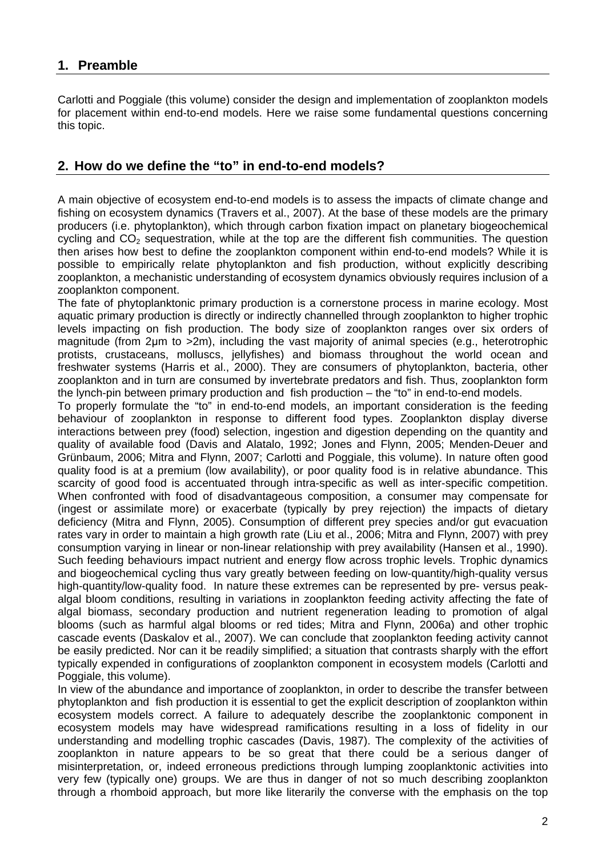# **1. Preamble**

Carlotti and Poggiale (this volume) consider the design and implementation of zooplankton models for placement within end-to-end models. Here we raise some fundamental questions concerning this topic.

### **2. How do we define the "to" in end-to-end models?**

A main objective of ecosystem end-to-end models is to assess the impacts of climate change and fishing on ecosystem dynamics (Travers et al., 2007). At the base of these models are the primary producers (i.e. phytoplankton), which through carbon fixation impact on planetary biogeochemical cycling and  $CO<sub>2</sub>$  sequestration, while at the top are the different fish communities. The question then arises how best to define the zooplankton component within end-to-end models? While it is possible to empirically relate phytoplankton and fish production, without explicitly describing zooplankton, a mechanistic understanding of ecosystem dynamics obviously requires inclusion of a zooplankton component.

The fate of phytoplanktonic primary production is a cornerstone process in marine ecology. Most aquatic primary production is directly or indirectly channelled through zooplankton to higher trophic levels impacting on fish production. The body size of zooplankton ranges over six orders of magnitude (from 2um to >2m), including the vast majority of animal species (e.g., heterotrophic protists, crustaceans, molluscs, jellyfishes) and biomass throughout the world ocean and freshwater systems (Harris et al., 2000). They are consumers of phytoplankton, bacteria, other zooplankton and in turn are consumed by invertebrate predators and fish. Thus, zooplankton form the lynch-pin between primary production and fish production – the "to" in end-to-end models.

To properly formulate the "to" in end-to-end models, an important consideration is the feeding behaviour of zooplankton in response to different food types. Zooplankton display diverse interactions between prey (food) selection, ingestion and digestion depending on the quantity and quality of available food (Davis and Alatalo, 1992; Jones and Flynn, 2005; Menden-Deuer and Grünbaum, 2006; Mitra and Flynn, 2007; Carlotti and Poggiale, this volume). In nature often good quality food is at a premium (low availability), or poor quality food is in relative abundance. This scarcity of good food is accentuated through intra-specific as well as inter-specific competition. When confronted with food of disadvantageous composition, a consumer may compensate for (ingest or assimilate more) or exacerbate (typically by prey rejection) the impacts of dietary deficiency (Mitra and Flynn, 2005). Consumption of different prey species and/or gut evacuation rates vary in order to maintain a high growth rate (Liu et al., 2006; Mitra and Flynn, 2007) with prey consumption varying in linear or non-linear relationship with prey availability (Hansen et al., 1990). Such feeding behaviours impact nutrient and energy flow across trophic levels. Trophic dynamics and biogeochemical cycling thus vary greatly between feeding on low-quantity/high-quality versus high-quantity/low-quality food. In nature these extremes can be represented by pre- versus peakalgal bloom conditions, resulting in variations in zooplankton feeding activity affecting the fate of algal biomass, secondary production and nutrient regeneration leading to promotion of algal blooms (such as harmful algal blooms or red tides; Mitra and Flynn, 2006a) and other trophic cascade events (Daskalov et al., 2007). We can conclude that zooplankton feeding activity cannot be easily predicted. Nor can it be readily simplified; a situation that contrasts sharply with the effort typically expended in configurations of zooplankton component in ecosystem models (Carlotti and Poggiale, this volume).

In view of the abundance and importance of zooplankton, in order to describe the transfer between phytoplankton and fish production it is essential to get the explicit description of zooplankton within ecosystem models correct. A failure to adequately describe the zooplanktonic component in ecosystem models may have widespread ramifications resulting in a loss of fidelity in our understanding and modelling trophic cascades (Davis, 1987). The complexity of the activities of zooplankton in nature appears to be so great that there could be a serious danger of misinterpretation, or, indeed erroneous predictions through lumping zooplanktonic activities into very few (typically one) groups. We are thus in danger of not so much describing zooplankton through a rhomboid approach, but more like literarily the converse with the emphasis on the top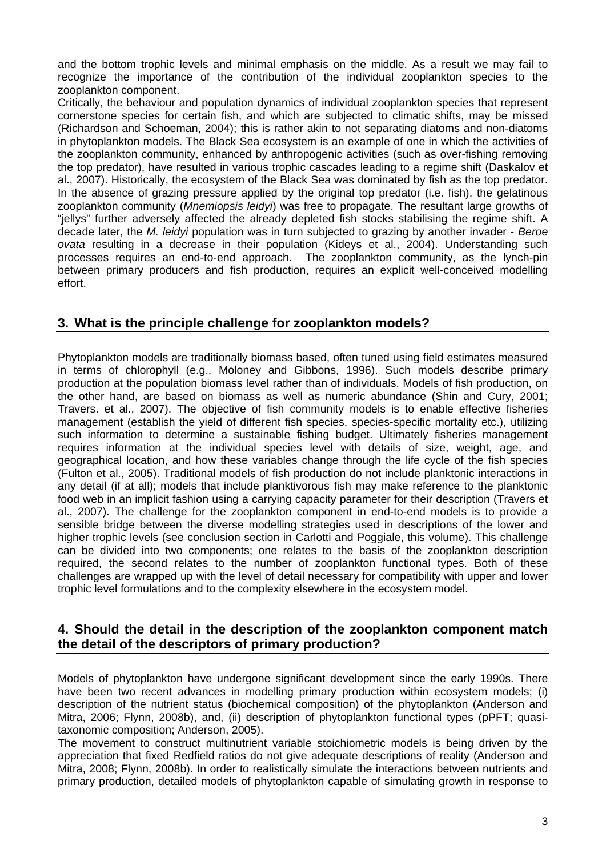and the bottom trophic levels and minimal emphasis on the middle. As a result we may fail to recognize the importance of the contribution of the individual zooplankton species to the zooplankton component.

Critically, the behaviour and population dynamics of individual zooplankton species that represent cornerstone species for certain fish, and which are subjected to climatic shifts, may be missed (Richardson and Schoeman, 2004); this is rather akin to not separating diatoms and non-diatoms in phytoplankton models. The Black Sea ecosystem is an example of one in which the activities of the zooplankton community, enhanced by anthropogenic activities (such as over-fishing removing the top predator), have resulted in various trophic cascades leading to a regime shift (Daskalov et al., 2007). Historically, the ecosystem of the Black Sea was dominated by fish as the top predator. In the absence of grazing pressure applied by the original top predator (i.e. fish), the gelatinous zooplankton community (*Mnemiopsis leidyi*) was free to propagate. The resultant large growths of "jellys" further adversely affected the already depleted fish stocks stabilising the regime shift. A decade later, the *M. leidyi* population was in turn subjected to grazing by another invader - *Beroe ovata* resulting in a decrease in their population (Kideys et al., 2004). Understanding such processes requires an end-to-end approach. The zooplankton community, as the lynch-pin between primary producers and fish production, requires an explicit well-conceived modelling effort.

# **3. What is the principle challenge for zooplankton models?**

Phytoplankton models are traditionally biomass based, often tuned using field estimates measured in terms of chlorophyll (e.g., Moloney and Gibbons, 1996). Such models describe primary production at the population biomass level rather than of individuals. Models of fish production, on the other hand, are based on biomass as well as numeric abundance (Shin and Cury, 2001; Travers. et al., 2007). The objective of fish community models is to enable effective fisheries management (establish the yield of different fish species, species-specific mortality etc.), utilizing such information to determine a sustainable fishing budget. Ultimately fisheries management requires information at the individual species level with details of size, weight, age, and geographical location, and how these variables change through the life cycle of the fish species (Fulton et al., 2005). Traditional models of fish production do not include planktonic interactions in any detail (if at all); models that include planktivorous fish may make reference to the planktonic food web in an implicit fashion using a carrying capacity parameter for their description (Travers et al., 2007). The challenge for the zooplankton component in end-to-end models is to provide a sensible bridge between the diverse modelling strategies used in descriptions of the lower and higher trophic levels (see conclusion section in Carlotti and Poggiale, this volume). This challenge can be divided into two components; one relates to the basis of the zooplankton description required, the second relates to the number of zooplankton functional types. Both of these challenges are wrapped up with the level of detail necessary for compatibility with upper and lower trophic level formulations and to the complexity elsewhere in the ecosystem model.

### **4. Should the detail in the description of the zooplankton component match the detail of the descriptors of primary production?**

Models of phytoplankton have undergone significant development since the early 1990s. There have been two recent advances in modelling primary production within ecosystem models; (i) description of the nutrient status (biochemical composition) of the phytoplankton (Anderson and Mitra, 2006; Flynn, 2008b), and, (ii) description of phytoplankton functional types (pPFT; quasitaxonomic composition; Anderson, 2005).

The movement to construct multinutrient variable stoichiometric models is being driven by the appreciation that fixed Redfield ratios do not give adequate descriptions of reality (Anderson and Mitra, 2008; Flynn, 2008b). In order to realistically simulate the interactions between nutrients and primary production, detailed models of phytoplankton capable of simulating growth in response to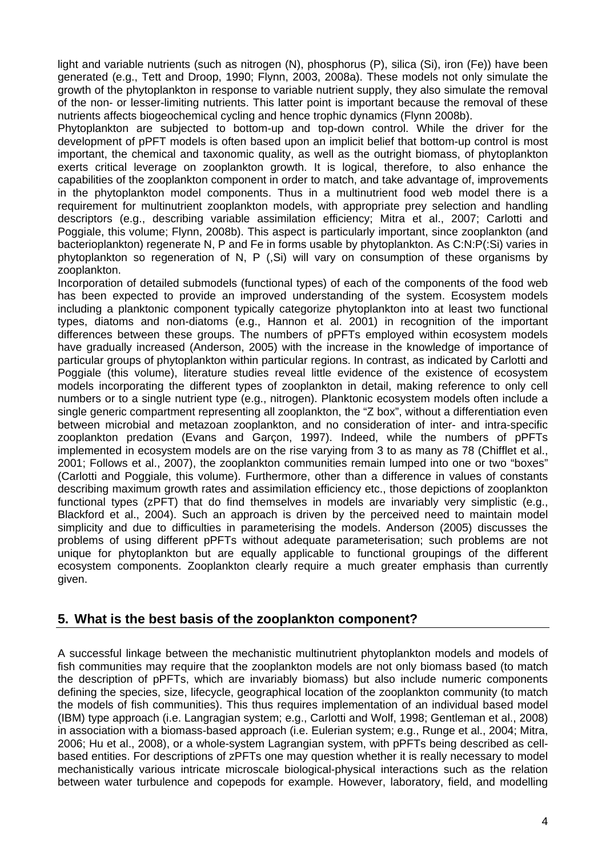light and variable nutrients (such as nitrogen (N), phosphorus (P), silica (Si), iron (Fe)) have been generated (e.g., Tett and Droop, 1990; Flynn, 2003, 2008a). These models not only simulate the growth of the phytoplankton in response to variable nutrient supply, they also simulate the removal of the non- or lesser-limiting nutrients. This latter point is important because the removal of these nutrients affects biogeochemical cycling and hence trophic dynamics (Flynn 2008b).

Phytoplankton are subjected to bottom-up and top-down control. While the driver for the development of pPFT models is often based upon an implicit belief that bottom-up control is most important, the chemical and taxonomic quality, as well as the outright biomass, of phytoplankton exerts critical leverage on zooplankton growth. It is logical, therefore, to also enhance the capabilities of the zooplankton component in order to match, and take advantage of, improvements in the phytoplankton model components. Thus in a multinutrient food web model there is a requirement for multinutrient zooplankton models, with appropriate prey selection and handling descriptors (e.g., describing variable assimilation efficiency; Mitra et al., 2007; Carlotti and Poggiale, this volume; Flynn, 2008b). This aspect is particularly important, since zooplankton (and bacterioplankton) regenerate N, P and Fe in forms usable by phytoplankton. As C:N:P(:Si) varies in phytoplankton so regeneration of N, P (, Si) will vary on consumption of these organisms by zooplankton.

Incorporation of detailed submodels (functional types) of each of the components of the food web has been expected to provide an improved understanding of the system. Ecosystem models including a planktonic component typically categorize phytoplankton into at least two functional types, diatoms and non-diatoms (e.g., Hannon et al. 2001) in recognition of the important differences between these groups. The numbers of pPFTs employed within ecosystem models have gradually increased (Anderson, 2005) with the increase in the knowledge of importance of particular groups of phytoplankton within particular regions. In contrast, as indicated by Carlotti and Poggiale (this volume), literature studies reveal little evidence of the existence of ecosystem models incorporating the different types of zooplankton in detail, making reference to only cell numbers or to a single nutrient type (e.g., nitrogen). Planktonic ecosystem models often include a single generic compartment representing all zooplankton, the "Z box", without a differentiation even between microbial and metazoan zooplankton, and no consideration of inter- and intra-specific zooplankton predation (Evans and Garçon, 1997). Indeed, while the numbers of pPFTs implemented in ecosystem models are on the rise varying from 3 to as many as 78 (Chifflet et al., 2001; Follows et al., 2007), the zooplankton communities remain lumped into one or two "boxes" (Carlotti and Poggiale, this volume). Furthermore, other than a difference in values of constants describing maximum growth rates and assimilation efficiency etc., those depictions of zooplankton functional types (zPFT) that do find themselves in models are invariably very simplistic (e.g., Blackford et al., 2004). Such an approach is driven by the perceived need to maintain model simplicity and due to difficulties in parameterising the models. Anderson (2005) discusses the problems of using different pPFTs without adequate parameterisation; such problems are not unique for phytoplankton but are equally applicable to functional groupings of the different ecosystem components. Zooplankton clearly require a much greater emphasis than currently given.

### **5. What is the best basis of the zooplankton component?**

A successful linkage between the mechanistic multinutrient phytoplankton models and models of fish communities may require that the zooplankton models are not only biomass based (to match the description of pPFTs, which are invariably biomass) but also include numeric components defining the species, size, lifecycle, geographical location of the zooplankton community (to match the models of fish communities). This thus requires implementation of an individual based model (IBM) type approach (i.e. Langragian system; e.g., Carlotti and Wolf, 1998; Gentleman et al., 2008) in association with a biomass-based approach (i.e. Eulerian system; e.g., Runge et al., 2004; Mitra, 2006; Hu et al., 2008), or a whole-system Lagrangian system, with pPFTs being described as cellbased entities. For descriptions of zPFTs one may question whether it is really necessary to model mechanistically various intricate microscale biological-physical interactions such as the relation between water turbulence and copepods for example. However, laboratory, field, and modelling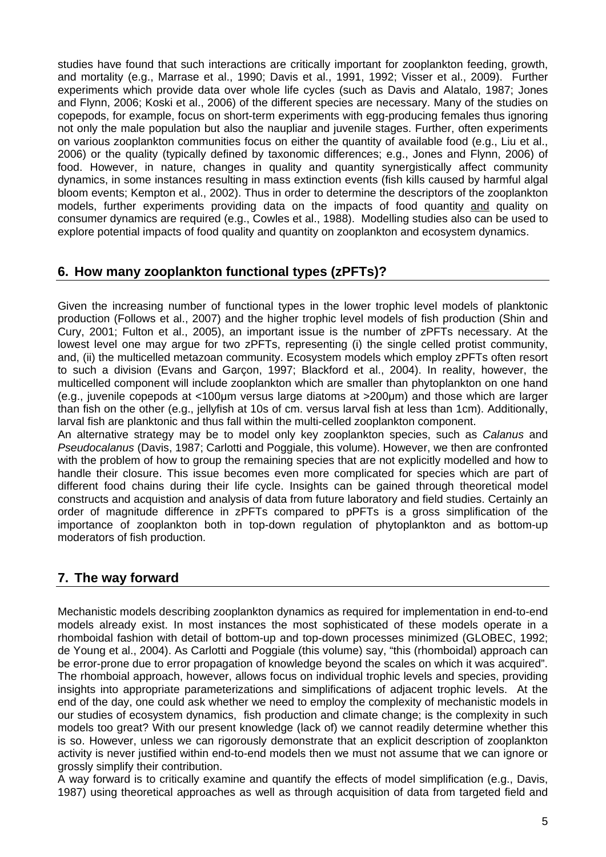studies have found that such interactions are critically important for zooplankton feeding, growth, and mortality (e.g., Marrase et al., 1990; Davis et al., 1991, 1992; Visser et al., 2009). Further experiments which provide data over whole life cycles (such as Davis and Alatalo, 1987; Jones and Flynn, 2006; Koski et al., 2006) of the different species are necessary. Many of the studies on copepods, for example, focus on short-term experiments with egg-producing females thus ignoring not only the male population but also the naupliar and juvenile stages. Further, often experiments on various zooplankton communities focus on either the quantity of available food (e.g., Liu et al., 2006) or the quality (typically defined by taxonomic differences; e.g., Jones and Flynn, 2006) of food. However, in nature, changes in quality and quantity synergistically affect community dynamics, in some instances resulting in mass extinction events (fish kills caused by harmful algal bloom events; Kempton et al., 2002). Thus in order to determine the descriptors of the zooplankton models, further experiments providing data on the impacts of food quantity and quality on consumer dynamics are required (e.g., Cowles et al., 1988). Modelling studies also can be used to explore potential impacts of food quality and quantity on zooplankton and ecosystem dynamics.

# **6. How many zooplankton functional types (zPFTs)?**

Given the increasing number of functional types in the lower trophic level models of planktonic production (Follows et al., 2007) and the higher trophic level models of fish production (Shin and Cury, 2001; Fulton et al., 2005), an important issue is the number of zPFTs necessary. At the lowest level one may argue for two zPFTs, representing (i) the single celled protist community, and, (ii) the multicelled metazoan community. Ecosystem models which employ zPFTs often resort to such a division (Evans and Garçon, 1997; Blackford et al., 2004). In reality, however, the multicelled component will include zooplankton which are smaller than phytoplankton on one hand (e.g., juvenile copepods at <100μm versus large diatoms at >200μm) and those which are larger than fish on the other (e.g., jellyfish at 10s of cm. versus larval fish at less than 1cm). Additionally, larval fish are planktonic and thus fall within the multi-celled zooplankton component.

An alternative strategy may be to model only key zooplankton species, such as *Calanus* and *Pseudocalanus* (Davis, 1987; Carlotti and Poggiale, this volume). However, we then are confronted with the problem of how to group the remaining species that are not explicitly modelled and how to handle their closure. This issue becomes even more complicated for species which are part of different food chains during their life cycle. Insights can be gained through theoretical model constructs and acquistion and analysis of data from future laboratory and field studies. Certainly an order of magnitude difference in zPFTs compared to pPFTs is a gross simplification of the importance of zooplankton both in top-down regulation of phytoplankton and as bottom-up moderators of fish production.

# **7. The way forward**

Mechanistic models describing zooplankton dynamics as required for implementation in end-to-end models already exist. In most instances the most sophisticated of these models operate in a rhomboidal fashion with detail of bottom-up and top-down processes minimized (GLOBEC, 1992; de Young et al., 2004). As Carlotti and Poggiale (this volume) say, "this (rhomboidal) approach can be error-prone due to error propagation of knowledge beyond the scales on which it was acquired". The rhomboial approach, however, allows focus on individual trophic levels and species, providing insights into appropriate parameterizations and simplifications of adjacent trophic levels. At the end of the day, one could ask whether we need to employ the complexity of mechanistic models in our studies of ecosystem dynamics, fish production and climate change; is the complexity in such models too great? With our present knowledge (lack of) we cannot readily determine whether this is so. However, unless we can rigorously demonstrate that an explicit description of zooplankton activity is never justified within end-to-end models then we must not assume that we can ignore or grossly simplify their contribution.

A way forward is to critically examine and quantify the effects of model simplification (e.g., Davis, 1987) using theoretical approaches as well as through acquisition of data from targeted field and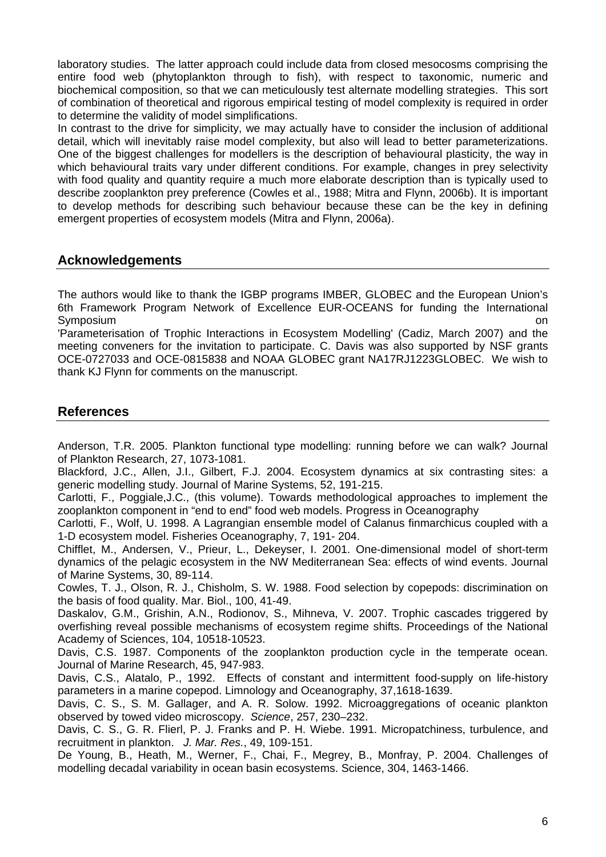laboratory studies. The latter approach could include data from closed mesocosms comprising the entire food web (phytoplankton through to fish), with respect to taxonomic, numeric and biochemical composition, so that we can meticulously test alternate modelling strategies. This sort of combination of theoretical and rigorous empirical testing of model complexity is required in order to determine the validity of model simplifications.

In contrast to the drive for simplicity, we may actually have to consider the inclusion of additional detail, which will inevitably raise model complexity, but also will lead to better parameterizations. One of the biggest challenges for modellers is the description of behavioural plasticity, the way in which behavioural traits vary under different conditions. For example, changes in prey selectivity with food quality and quantity require a much more elaborate description than is typically used to describe zooplankton prey preference (Cowles et al., 1988; Mitra and Flynn, 2006b). It is important to develop methods for describing such behaviour because these can be the key in defining emergent properties of ecosystem models (Mitra and Flynn, 2006a).

### **Acknowledgements**

The authors would like to thank the IGBP programs IMBER, GLOBEC and the European Union's 6th Framework Program Network of Excellence EUR-OCEANS for funding the International Symposium on the state of the state of the state of the state of the state of the state of the state of the state of the state of the state of the state of the state of the state of the state of the state of the state of t

'Parameterisation of Trophic Interactions in Ecosystem Modelling' (Cadiz, March 2007) and the meeting conveners for the invitation to participate. C. Davis was also supported by NSF grants OCE-0727033 and OCE-0815838 and NOAA GLOBEC grant NA17RJ1223GLOBEC. We wish to thank KJ Flynn for comments on the manuscript.

# **References**

Anderson, T.R. 2005. Plankton functional type modelling: running before we can walk? Journal of Plankton Research, 27, 1073-1081.

Blackford, J.C., Allen, J.I., Gilbert, F.J. 2004. Ecosystem dynamics at six contrasting sites: a generic modelling study. Journal of Marine Systems, 52, 191-215.

Carlotti, F., Poggiale,J.C., (this volume). Towards methodological approaches to implement the zooplankton component in "end to end" food web models. Progress in Oceanography

Carlotti, F., Wolf, U. 1998. A Lagrangian ensemble model of Calanus finmarchicus coupled with a 1-D ecosystem model. Fisheries Oceanography, 7, 191- 204.

Chifflet, M., Andersen, V., Prieur, L., Dekeyser, I. 2001. One-dimensional model of short-term dynamics of the pelagic ecosystem in the NW Mediterranean Sea: effects of wind events. Journal of Marine Systems, 30, 89-114.

Cowles, T. J., Olson, R. J., Chisholm, S. W. 1988. Food selection by copepods: discrimination on the basis of food quality. Mar. Biol., 100, 41-49.

Daskalov, G.M., Grishin, A.N., Rodionov, S., Mihneva, V. 2007. Trophic cascades triggered by overfishing reveal possible mechanisms of ecosystem regime shifts. Proceedings of the National Academy of Sciences, 104, 10518-10523.

Davis, C.S. 1987. Components of the zooplankton production cycle in the temperate ocean. Journal of Marine Research, 45, 947-983.

Davis, C.S., Alatalo, P., 1992. Effects of constant and intermittent food-supply on life-history parameters in a marine copepod. Limnology and Oceanography, 37,1618-1639.

Davis, C. S., S. M. Gallager, and A. R. Solow. 1992. Microaggregations of oceanic plankton observed by towed video microscopy. *Science*, 257, 230–232.

Davis, C. S., G. R. Flierl, P. J. Franks and P. H. Wiebe. 1991. Micropatchiness, turbulence, and recruitment in plankton. *J. Mar. Res.*, 49, 109-151.

De Young, B., Heath, M., Werner, F., Chai, F., Megrey, B., Monfray, P. 2004. Challenges of modelling decadal variability in ocean basin ecosystems. Science, 304, 1463-1466.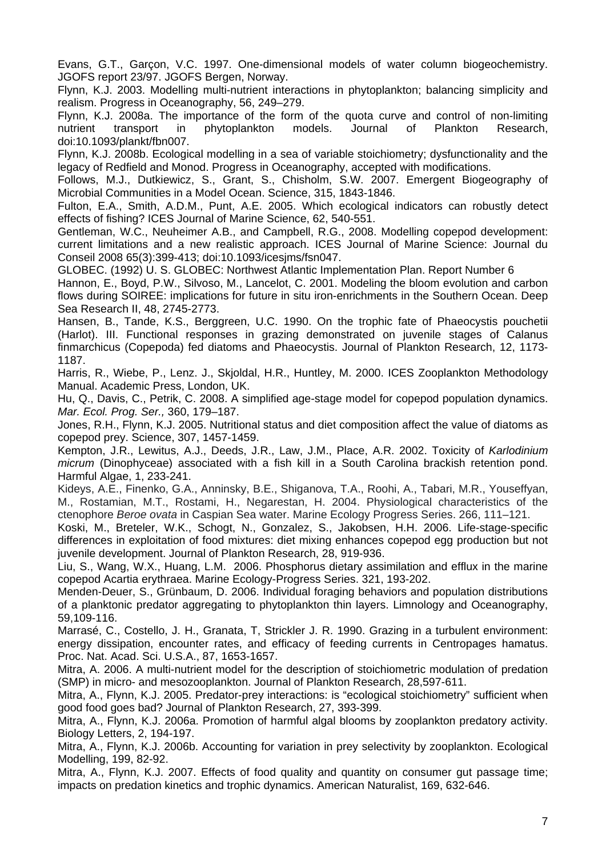Evans, G.T., Garçon, V.C. 1997. One-dimensional models of water column biogeochemistry. JGOFS report 23/97. JGOFS Bergen, Norway.

Flynn, K.J. 2003. Modelling multi-nutrient interactions in phytoplankton; balancing simplicity and realism. Progress in Oceanography, 56, 249–279.

Flynn, K.J. 2008a. The importance of the form of the quota curve and control of non-limiting nutrient transport in phytoplankton models. Journal of Plankton Research, doi:10.1093/plankt/fbn007.

Flynn, K.J. 2008b. Ecological modelling in a sea of variable stoichiometry; dysfunctionality and the legacy of Redfield and Monod. Progress in Oceanography, accepted with modifications.

Follows, M.J., Dutkiewicz, S., Grant, S., Chisholm, S.W. 2007. Emergent Biogeography of Microbial Communities in a Model Ocean. Science, 315, 1843-1846.

Fulton, E.A., Smith, A.D.M., Punt, A.E. 2005. Which ecological indicators can robustly detect effects of fishing? ICES Journal of Marine Science, 62, 540-551.

Gentleman, W.C., Neuheimer A.B., and Campbell, R.G., 2008. Modelling copepod development: current limitations and a new realistic approach. ICES Journal of Marine Science: Journal du Conseil 2008 65(3):399-413; doi:10.1093/icesjms/fsn047.

GLOBEC. (1992) U. S. GLOBEC: Northwest Atlantic Implementation Plan. Report Number 6

Hannon, E., Boyd, P.W., Silvoso, M., Lancelot, C. 2001. Modeling the bloom evolution and carbon flows during SOIREE: implications for future in situ iron-enrichments in the Southern Ocean. Deep Sea Research II, 48, 2745-2773.

Hansen, B., Tande, K.S., Berggreen, U.C. 1990. On the trophic fate of Phaeocystis pouchetii (Harlot). III. Functional responses in grazing demonstrated on juvenile stages of Calanus finmarchicus (Copepoda) fed diatoms and Phaeocystis. Journal of Plankton Research, 12, 1173- 1187.

Harris, R., Wiebe, P., Lenz. J., Skjoldal, H.R., Huntley, M. 2000. ICES Zooplankton Methodology Manual. Academic Press, London, UK.

Hu, Q., Davis, C., Petrik, C. 2008. A simplified age-stage model for copepod population dynamics. *Mar. Ecol. Prog. Ser.,* 360, 179–187.

Jones, R.H., Flynn, K.J. 2005. Nutritional status and diet composition affect the value of diatoms as copepod prey. Science, 307, 1457-1459.

Kempton, J.R., Lewitus, A.J., Deeds, J.R., Law, J.M., Place, A.R. 2002. Toxicity of *Karlodinium micrum* (Dinophyceae) associated with a fish kill in a South Carolina brackish retention pond. Harmful Algae, 1, 233-241.

Kideys, A.E., Finenko, G.A., Anninsky, B.E., Shiganova, T.A., Roohi, A., Tabari, M.R., Youseffyan, M., Rostamian, M.T., Rostami, H., Negarestan, H. 2004. Physiological characteristics of the ctenophore *Beroe ovata* in Caspian Sea water. Marine Ecology Progress Series. 266, 111–121.

Koski, M., Breteler, W.K., Schogt, N., Gonzalez, S., Jakobsen, H.H. 2006. Life-stage-specific differences in exploitation of food mixtures: diet mixing enhances copepod egg production but not juvenile development. Journal of Plankton Research, 28, 919-936.

Liu, S., Wang, W.X., Huang, L.M. 2006. Phosphorus dietary assimilation and efflux in the marine copepod Acartia erythraea. Marine Ecology-Progress Series. 321, 193-202.

Menden-Deuer, S., Grünbaum, D. 2006. Individual foraging behaviors and population distributions of a planktonic predator aggregating to phytoplankton thin layers. Limnology and Oceanography, 59,109-116.

Marrasé, C., Costello, J. H., Granata, T, Strickler J. R. 1990. Grazing in a turbulent environment: energy dissipation, encounter rates, and efficacy of feeding currents in Centropages hamatus. Proc. Nat. Acad. Sci. U.S.A., 87, 1653-1657.

Mitra, A. 2006. A multi-nutrient model for the description of stoichiometric modulation of predation (SMP) in micro- and mesozooplankton. Journal of Plankton Research, 28,597-611.

Mitra, A., Flynn, K.J. 2005. Predator-prey interactions: is "ecological stoichiometry" sufficient when good food goes bad? Journal of Plankton Research, 27, 393-399.

Mitra, A., Flynn, K.J. 2006a. Promotion of harmful algal blooms by zooplankton predatory activity. Biology Letters, 2, 194-197.

Mitra, A., Flynn, K.J. 2006b. Accounting for variation in prey selectivity by zooplankton. Ecological Modelling, 199, 82-92.

Mitra, A., Flynn, K.J. 2007. Effects of food quality and quantity on consumer gut passage time; impacts on predation kinetics and trophic dynamics. American Naturalist, 169, 632-646.